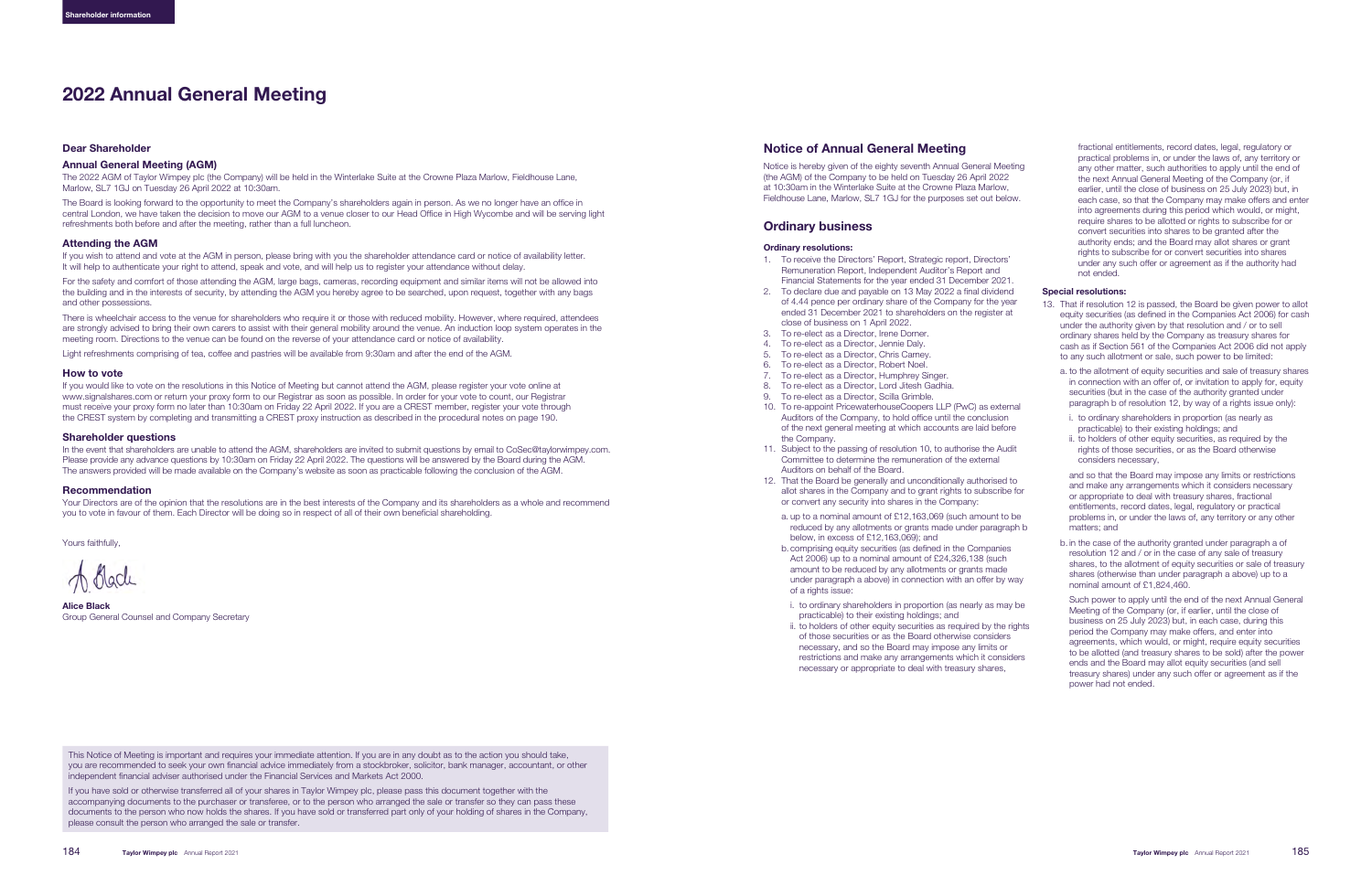#### Dear Shareholder

#### Annual General Meeting (AGM)

The 2022 AGM of Taylor Wimpey plc (the Company) will be held in the Winterlake Suite at the Crowne Plaza Marlow, Fieldhouse Lane, Marlow, SL7 1GJ on Tuesday 26 April 2022 at 10:30am.

The Board is looking forward to the opportunity to meet the Company's shareholders again in person. As we no longer have an office in central London, we have taken the decision to move our AGM to a venue closer to our Head Office in High Wycombe and will be serving light refreshments both before and after the meeting, rather than a full luncheon.

#### Attending the AGM

If you wish to attend and vote at the AGM in person, please bring with you the shareholder attendance card or notice of availability letter. It will help to authenticate your right to attend, speak and vote, and will help us to register your attendance without delay.

For the safety and comfort of those attending the AGM, large bags, cameras, recording equipment and similar items will not be allowed into the building and in the interests of security, by attending the AGM you hereby agree to be searched, upon request, together with any bags and other possessions.

There is wheelchair access to the venue for shareholders who require it or those with reduced mobility. However, where required, attendees are strongly advised to bring their own carers to assist with their general mobility around the venue. An induction loop system operates in the meeting room. Directions to the venue can be found on the reverse of your attendance card or notice of availability.

Light refreshments comprising of tea, coffee and pastries will be available from 9:30am and after the end of the AGM.

### How to vote

If you would like to vote on the resolutions in this Notice of Meeting but cannot attend the AGM, please register your vote online at www.signalshares.com or return your proxy form to our Registrar as soon as possible. In order for your vote to count, our Registrar must receive your proxy form no later than 10:30am on Friday 22 April 2022. If you are a CREST member, register your vote through the CREST system by completing and transmitting a CREST proxy instruction as described in the procedural notes on page [190.](#page-3-0)

#### Shareholder questions

In the event that shareholders are unable to attend the AGM, shareholders are invited to submit questions by email to CoSec@taylorwimpey.com. Please provide any advance questions by 10:30am on Friday 22 April 2022. The questions will be answered by the Board during the AGM. The answers provided will be made available on the Company's website as soon as practicable following the conclusion of the AGM.

#### Recommendation

Your Directors are of the opinion that the resolutions are in the best interests of the Company and its shareholders as a whole and recommend you to vote in favour of them. Each Director will be doing so in respect of all of their own beneficial shareholding.

Yours faithfully,

Alice Black Group General Counsel and Company Secretary

# 2022 Annual General Meeting

This Notice of Meeting is important and requires your immediate attention. If you are in any doubt as to the action you should take, you are recommended to seek your own financial advice immediately from a stockbroker, solicitor, bank manager, accountant, or other independent financial adviser authorised under the Financial Services and Markets Act 2000.

If you have sold or otherwise transferred all of your shares in Taylor Wimpey plc, please pass this document together with the accompanying documents to the purchaser or transferee, or to the person who arranged the sale or transfer so they can pass these documents to the person who now holds the shares. If you have sold or transferred part only of your holding of shares in the Company, please consult the person who arranged the sale or transfer.

# Notice of Annual General Meeting

Notice is hereby given of the eighty seventh Annual General Meeting (the AGM) of the Company to be held on Tuesday 26 April 2022 at 10:30am in the Winterlake Suite at the Crowne Plaza Marlow, Fieldhouse Lane, Marlow, SL7 1GJ for the purposes set out below.

# Ordinary business

#### Ordinary resolutions:

- 1. To receive the Directors' Report, Strategic report, Directors' Remuneration Report, Independent Auditor's Report and Financial Statements for the year ended 31 December 2021.
- 2. To declare due and payable on 13 May 2022 a final dividend of 4.44 pence per ordinary share of the Company for the year ended 31 December 2021 to shareholders on the register at close of business on 1 April 2022.
- 3. To re-elect as a Director, Irene Dorner.
- 4. To re-elect as a Director, Jennie Daly.
- 5. To re-elect as a Director, Chris Carney.
- 6. To re-elect as a Director, Robert Noel.
- 7. To re-elect as a Director, Humphrey Singer.
- 8. To re-elect as a Director, Lord Jitesh Gadhia. 9. To re-elect as a Director, Scilla Grimble.
- 10. To re-appoint PricewaterhouseCoopers LLP (PwC) as external Auditors of the Company, to hold office until the conclusion of the next general meeting at which accounts are laid before the Company.
- 11. Subject to the passing of resolution 10, to authorise the Audit Committee to determine the remuneration of the external Auditors on behalf of the Board.
- 12. That the Board be generally and unconditionally authorised to allot shares in the Company and to grant rights to subscribe for or convert any security into shares in the Company:
- a. up to a nominal amount of £12,163,069 (such amount to be reduced by any allotments or grants made under paragraph b below, in excess of £12,163,069); and
- b. comprising equity securities (as defined in the Companies Act 2006) up to a nominal amount of £24,326,138 (such amount to be reduced by any allotments or grants made under paragraph a above) in connection with an offer by way of a rights issue:
- i. to ordinary shareholders in proportion (as nearly as may be practicable) to their existing holdings; and
- ii. to holders of other equity securities as required by the rights of those securities or as the Board otherwise considers necessary, and so the Board may impose any limits or restrictions and make any arrangements which it considers necessary or appropriate to deal with treasury shares,

fractional entitlements, record dates, legal, regulatory or practical problems in, or under the laws of, any territory or any other matter, such authorities to apply until the end of the next Annual General Meeting of the Company (or, if earlier, until the close of business on 25 July 2023) but, in each case, so that the Company may make offers and enter into agreements during this period which would, or might, require shares to be allotted or rights to subscribe for or convert securities into shares to be granted after the authority ends; and the Board may allot shares or grant rights to subscribe for or convert securities into shares under any such offer or agreement as if the authority had not ended.

## Special resolutions:

- 13. That if resolution 12 is passed, the Board be given power to allot equity securities (as defined in the Companies Act 2006) for cash under the authority given by that resolution and / or to sell ordinary shares held by the Company as treasury shares for cash as if Section 561 of the Companies Act 2006 did not apply to any such allotment or sale, such power to be limited:
	- a. to the allotment of equity securities and sale of treasury shares in connection with an offer of, or invitation to apply for, equity securities (but in the case of the authority granted under paragraph b of resolution 12, by way of a rights issue only):
	- i. to ordinary shareholders in proportion (as nearly as practicable) to their existing holdings; and
	- ii. to holders of other equity securities, as required by the rights of those securities, or as the Board otherwise considers necessary,

and so that the Board may impose any limits or restrictions and make any arrangements which it considers necessary or appropriate to deal with treasury shares, fractional entitlements, record dates, legal, regulatory or practical problems in, or under the laws of, any territory or any other matters; and

b. in the case of the authority granted under paragraph a of resolution 12 and / or in the case of any sale of treasury shares, to the allotment of equity securities or sale of treasury shares (otherwise than under paragraph a above) up to a nominal amount of £1,824,460.

Such power to apply until the end of the next Annual General Meeting of the Company (or, if earlier, until the close of business on 25 July 2023) but, in each case, during this period the Company may make offers, and enter into agreements, which would, or might, require equity securities to be allotted (and treasury shares to be sold) after the power ends and the Board may allot equity securities (and sell treasury shares) under any such offer or agreement as if the power had not ended.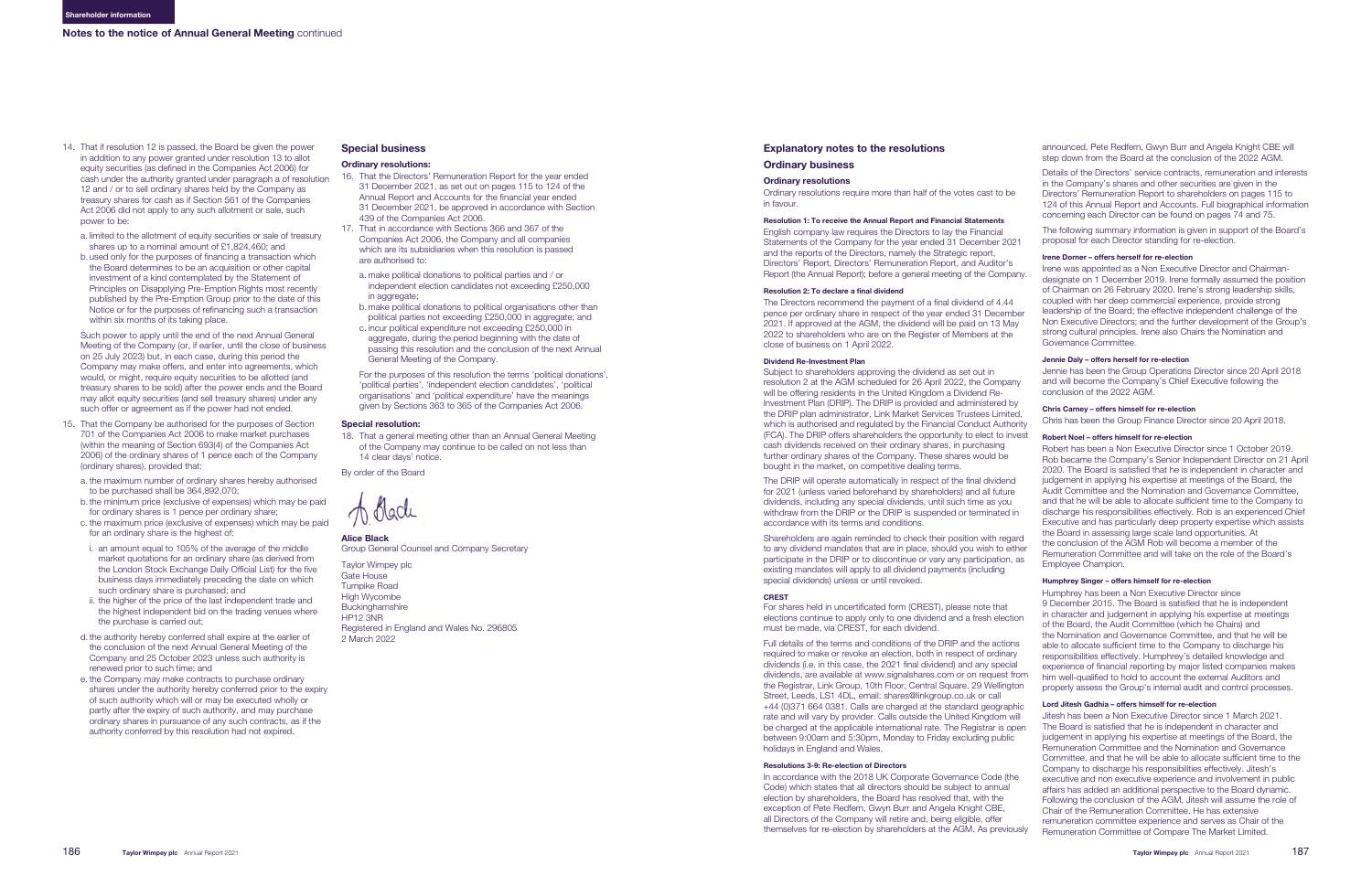- 14. That if resolution 12 is passed, the Board be given the power in addition to any power granted under resolution 13 to allot equity securities (as defined in the Companies Act 2006) for cash under the authority granted under paragraph a of resolution 12 and / or to sell ordinary shares held by the Company as treasury shares for cash as if Section 561 of the Companies Act 2006 did not apply to any such allotment or sale, such power to be:
	- a. limited to the allotment of equity securities or sale of treasury shares up to a nominal amount of £1,824,460; and
	- b. used only for the purposes of financing a transaction which the Board determines to be an acquisition or other capital investment of a kind contemplated by the Statement of Principles on Disapplying Pre-Emption Rights most recently published by the Pre-Emption Group prior to the date of this Notice or for the purposes of refinancing such a transaction within six months of its taking place.

Such power to apply until the end of the next Annual General Meeting of the Company (or, if earlier, until the close of business on 25 July 2023) but, in each case, during this period the Company may make offers, and enter into agreements, which would, or might, require equity securities to be allotted (and treasury shares to be sold) after the power ends and the Board may allot equity securities (and sell treasury shares) under any such offer or agreement as if the power had not ended.

- 15. That the Company be authorised for the purposes of Section 701 of the Companies Act 2006 to make market purchases (within the meaning of Section 693(4) of the Companies Act 2006) of the ordinary shares of 1 pence each of the Company (ordinary shares), provided that:
	- a. the maximum number of ordinary shares hereby authorised to be purchased shall be 364,892,070;
	- b. the minimum price (exclusive of expenses) which may be paid for ordinary shares is 1 pence per ordinary share;
	- c. the maximum price (exclusive of expenses) which may be paid for an ordinary share is the highest of:
	- i. an amount equal to 105% of the average of the middle market quotations for an ordinary share (as derived from the London Stock Exchange Daily Official List) for the five business days immediately preceding the date on which such ordinary share is purchased; and
	- ii. the higher of the price of the last independent trade and the highest independent bid on the trading venues where the purchase is carried out;
	- d. the authority hereby conferred shall expire at the earlier of the conclusion of the next Annual General Meeting of the Company and 25 October 2023 unless such authority is renewed prior to such time; and
	- e. the Company may make contracts to purchase ordinary shares under the authority hereby conferred prior to the expiry of such authority which will or may be executed wholly or partly after the expiry of such authority, and may purchase ordinary shares in pursuance of any such contracts, as if the authority conferred by this resolution had not expired.

# Special business

#### Ordinary resolutions:

- 16. That the Directors' Remuneration Report for the year ended 31 December 2021, as set out on pages [115 to 124](#page--1-0) of the Annual Report and Accounts for the financial year ended 31 December 2021, be approved in accordance with Section 439 of the Companies Act 2006.
- 17. That in accordance with Sections 366 and 367 of the Companies Act 2006, the Company and all companies which are its subsidiaries when this resolution is passed are authorised to:
	- a. make political donations to political parties and / or independent election candidates not exceeding £250,000 in aggregate
	- b. make political donations to political organisations other than political parties not exceeding £250,000 in aggregate; and
	- c. incur political expenditure not exceeding £250,000 in aggregate, during the period beginning with the date of passing this resolution and the conclusion of the next Annual General Meeting of the Company.

For the purposes of this resolution the terms 'political donations', 'political parties', 'independent election candidates', 'political organisations' and 'political expenditure' have the meanings given by Sections 363 to 365 of the Companies Act 2006.

#### Special resolution:

18. That a general meeting other than an Annual General Meeting of the Company may continue to be called on not less than 14 clear days' notice.

By order of the Board

Alice Black

Group General Counsel and Company Secretary

Taylor Wimpey plc Gate House Turnpike Road High Wycombe **Buckinghamshire** HP12 3NR Registered in England and Wales No. 296805 2 March 2022

# Explanatory notes to the resolutions

# Ordinary business

### Ordinary resolutions

Ordinary resolutions require more than half of the votes cast to be in favour.

#### Resolution 1: To receive the Annual Report and Financial Statements

English company law requires the Directors to lay the Financial Statements of the Company for the year ended 31 December 2021 and the reports of the Directors, namely the Strategic report, Directors' Report, Directors' Remuneration Report, and Auditor's Report (the Annual Report); before a general meeting of the Company.

#### Resolution 2: To declare a final dividend

The Directors recommend the payment of a final dividend of 4.44 pence per ordinary share in respect of the year ended 31 December 2021. If approved at the AGM, the dividend will be paid on 13 May 2022 to shareholders who are on the Register of Members at the close of business on 1 April 2022.

#### Dividend Re-Investment Plan

The DRIP will operate automatically in respect of the final dividend for 2021 (unless varied beforehand by shareholders) and all future dividends, including any special dividends, until such time as you withdraw from the DRIP or the DRIP is suspended or terminated in accordance with its terms and conditions.

Shareholders are again reminded to check their position with regard to any dividend mandates that are in place, should you wish to either participate in the DRIP or to discontinue or vary any participation, as existing mandates will apply to all dividend payments (including special dividends) unless or until revoked.

#### CREST

For shares held in uncertificated form (CREST), please note that elections continue to apply only to one dividend and a fresh election must be made, via CREST, for each dividend.

Full details of the terms and conditions of the DRIP and the actions required to make or revoke an election, both in respect of ordinary dividends (i.e. in this case, the 2021 final dividend) and any special dividends, are available at www.signalshares.com or on request from the Registrar, Link Group, 10th Floor, Central Square, 29 Wellington Street, Leeds, LS1 4DL, email: shares@linkgroup.co.uk or call +44 (0)371 664 0381. Calls are charged at the standard geographic rate and will vary by provider. Calls outside the United Kingdom will be charged at the applicable international rate. The Registrar is open between 9:00am and 5:30pm, Monday to Friday excluding public holidays in England and Wales.

Subject to shareholders approving the dividend as set out in resolution 2 at the AGM scheduled for 26 April 2022, the Company will be offering residents in the United Kingdom a Dividend Re-Investment Plan (DRIP). The DRIP is provided and administered by the DRIP plan administrator, Link Market Services Trustees Limited, which is authorised and regulated by the Financial Conduct Authority (FCA). The DRIP offers shareholders the opportunity to elect to invest cash dividends received on their ordinary shares, in purchasing further ordinary shares of the Company. These shares would be bought in the market, on competitive dealing terms. Jennie has been the Group Operations Director since 20 April 2018 and will become the Company's Chief Executive following the conclusion of the 2022 AGM. Chris Carney – offers himself for re-election Chris has been the Group Finance Director since 20 April 2018. Robert Noel – offers himself for re-election Robert has been a Non Executive Director since 1 October 2019.

### Resolutions 3-9: Re-election of Directors

In accordance with the 2018 UK Corporate Governance Code (the Code) which states that all directors should be subject to annual election by shareholders, the Board has resolved that, with the exception of Pete Redfern, Gwyn Burr and Angela Knight CBE, all Directors of the Company will retire and, being eligible, offer themselves for re-election by shareholders at the AGM. As previously

announced, Pete Redfern, Gwyn Burr and Angela Knight CBE will step down from the Board at the conclusion of the 2022 AGM.

Details of the Directors' service contracts, remuneration and interests in the Company's shares and other securities are given in the Directors' Remuneration Report to shareholders on pages [115 to](#page--1-0)  [124 o](#page--1-0)f this Annual Report and Accounts. Full biographical information concerning each Director can be found on pages [74 and 75.](#page--1-0)

The following summary information is given in support of the Board's proposal for each Director standing for re-election.

### Irene Dorner – offers herself for re-election

Irene was appointed as a Non Executive Director and Chairmandesignate on 1 December 2019. Irene formally assumed the position of Chairman on 26 February 2020. Irene's strong leadership skills, coupled with her deep commercial experience, provide strong leadership of the Board; the effective independent challenge of the Non Executive Directors; and the further development of the Group's strong cultural principles. Irene also Chairs the Nomination and Governance Committee.

#### Jennie Daly – offers herself for re-election

Rob became the Company's Senior Independent Director on 21 April 2020. The Board is satisfied that he is independent in character and judgement in applying his expertise at meetings of the Board, the Audit Committee and the Nomination and Governance Committee, and that he will be able to allocate sufficient time to the Company to discharge his responsibilities effectively. Rob is an experienced Chief Executive and has particularly deep property expertise which assists the Board in assessing large scale land opportunities. At the conclusion of the AGM Rob will become a member of the Remuneration Committee and will take on the role of the Board's Employee Champion.

#### Humphrey Singer – offers himself for re-election

Humphrey has been a Non Executive Director since 9 December 2015. The Board is satisfied that he is independent in character and judgement in applying his expertise at meetings of the Board, the Audit Committee (which he Chairs) and the Nomination and Governance Committee, and that he will be able to allocate sufficient time to the Company to discharge his responsibilities effectively. Humphrey's detailed knowledge and experience of financial reporting by major listed companies makes him well-qualified to hold to account the external Auditors and properly assess the Group's internal audit and control processes.

#### Lord Jitesh Gadhia – offers himself for re-election

Jitesh has been a Non Executive Director since 1 March 2021. The Board is satisfied that he is independent in character and judgement in applying his expertise at meetings of the Board, the Remuneration Committee and the Nomination and Governance Committee, and that he will be able to allocate sufficient time to the Company to discharge his responsibilities effectively. Jitesh's executive and non executive experience and involvement in public affairs has added an additional perspective to the Board dynamic. Following the conclusion of the AGM, Jitesh will assume the role of Chair of the Remuneration Committee. He has extensive remuneration committee experience and serves as Chair of the Remuneration Committee of Compare The Market Limited.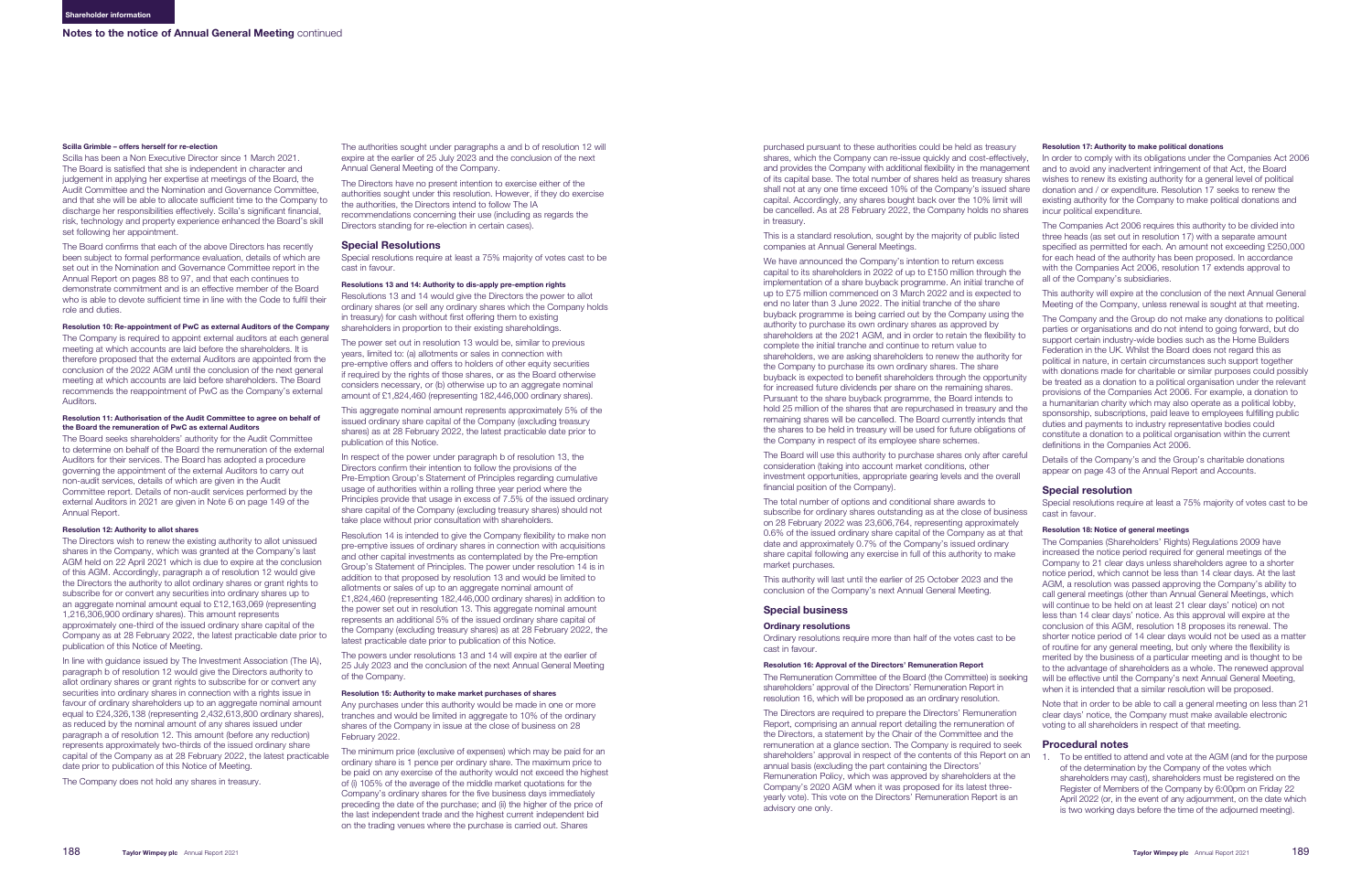#### Scilla Grimble – offers herself for re-election

Scilla has been a Non Executive Director since 1 March 2021. The Board is satisfied that she is independent in character and judgement in applying her expertise at meetings of the Board, the Audit Committee and the Nomination and Governance Committee, and that she will be able to allocate sufficient time to the Company to discharge her responsibilities effectively. Scilla's significant financial, risk, technology and property experience enhanced the Board's skill set following her appointment.

The Board confirms that each of the above Directors has recently been subject to formal performance evaluation, details of which are set out in the Nomination and Governance Committee report in the Annual Report on page[s 88 to 97,](#page--1-0) and that each continues to demonstrate commitment and is an effective member of the Board who is able to devote sufficient time in line with the Code to fulfil their role and duties.

#### Resolution 10: Re-appointment of PwC as external Auditors of the Company

The Company is required to appoint external auditors at each general meeting at which accounts are laid before the shareholders. It is therefore proposed that the external Auditors are appointed from the conclusion of the 2022 AGM until the conclusion of the next general meeting at which accounts are laid before shareholders. The Board recommends the reappointment of PwC as the Company's external Auditors.

#### Resolution 11: Authorisation of the Audit Committee to agree on behalf of the Board the remuneration of PwC as external Auditors

The Board seeks shareholders' authority for the Audit Committee to determine on behalf of the Board the remuneration of the external Auditors for their services. The Board has adopted a procedure governing the appointment of the external Auditors to carry out non-audit services, details of which are given in the Audit Committee report. Details of non-audit services performed by the external Auditors in 2021 are given in Note 6 on page [149](#page--1-0) of the Annual Report.

#### Resolution 12: Authority to allot shares

The Directors wish to renew the existing authority to allot unissued shares in the Company, which was granted at the Company's last AGM held on 22 April 2021 which is due to expire at the conclusion of this AGM. Accordingly, paragraph a of resolution 12 would give the Directors the authority to allot ordinary shares or grant rights to subscribe for or convert any securities into ordinary shares up to an aggregate nominal amount equal to £12,163,069 (representing 1,216,306,900 ordinary shares). This amount represents approximately one-third of the issued ordinary share capital of the Company as at 28 February 2022, the latest practicable date prior to publication of this Notice of Meeting.

In respect of the power under paragraph b of resolution 13, the Directors confirm their intention to follow the provisions of the Pre-Emption Group's Statement of Principles regarding cumulative usage of authorities within a rolling three year period where the Principles provide that usage in excess of 7.5% of the issued ordinary share capital of the Company (excluding treasury shares) should not take place without prior consultation with shareholders.

In line with guidance issued by The Investment Association (The IA), paragraph b of resolution 12 would give the Directors authority to allot ordinary shares or grant rights to subscribe for or convert any securities into ordinary shares in connection with a rights issue in favour of ordinary shareholders up to an aggregate nominal amount equal to £24,326,138 (representing 2,432,613,800 ordinary shares), as reduced by the nominal amount of any shares issued under paragraph a of resolution 12. This amount (before any reduction) represents approximately two-thirds of the issued ordinary share capital of the Company as at 28 February 2022, the latest practicable date prior to publication of this Notice of Meeting.

The Company does not hold any shares in treasury.

The authorities sought under paragraphs a and b of resolution 12 will expire at the earlier of 25 July 2023 and the conclusion of the next Annual General Meeting of the Company.

The Directors have no present intention to exercise either of the authorities sought under this resolution. However, if they do exercise the authorities, the Directors intend to follow The IA recommendations concerning their use (including as regards the Directors standing for re-election in certain cases).

#### Special Resolutions

Special resolutions require at least a 75% majority of votes cast to be cast in favour.

#### Resolutions 13 and 14: Authority to dis-apply pre-emption rights

Resolutions 13 and 14 would give the Directors the power to allot ordinary shares (or sell any ordinary shares which the Company holds in treasury) for cash without first offering them to existing shareholders in proportion to their existing shareholdings.

The power set out in resolution 13 would be, similar to previous years, limited to: (a) allotments or sales in connection with pre-emptive offers and offers to holders of other equity securities if required by the rights of those shares, or as the Board otherwise considers necessary, or (b) otherwise up to an aggregate nominal amount of £1,824,460 (representing 182,446,000 ordinary shares).

This aggregate nominal amount represents approximately 5% of the issued ordinary share capital of the Company (excluding treasury shares) as at 28 February 2022, the latest practicable date prior to publication of this Notice.

Resolution 14 is intended to give the Company flexibility to make non pre-emptive issues of ordinary shares in connection with acquisitions and other capital investments as contemplated by the Pre-emption Group's Statement of Principles. The power under resolution 14 is in addition to that proposed by resolution 13 and would be limited to allotments or sales of up to an aggregate nominal amount of £1,824,460 (representing 182,446,000 ordinary shares) in addition to the power set out in resolution 13. This aggregate nominal amount represents an additional 5% of the issued ordinary share capital of the Company (excluding treasury shares) as at 28 February 2022, the latest practicable date prior to publication of this Notice.

The powers under resolutions 13 and 14 will expire at the earlier of 25 July 2023 and the conclusion of the next Annual General Meeting of the Company.

#### Resolution 15: Authority to make market purchases of shares

Any purchases under this authority would be made in one or more tranches and would be limited in aggregate to 10% of the ordinary shares of the Company in issue at the close of business on 28 February 2022.

The minimum price (exclusive of expenses) which may be paid for an ordinary share is 1 pence per ordinary share. The maximum price to be paid on any exercise of the authority would not exceed the highest of (i) 105% of the average of the middle market quotations for the Company's ordinary shares for the five business days immediately preceding the date of the purchase; and (ii) the higher of the price of the last independent trade and the highest current independent bid on the trading venues where the purchase is carried out. Shares

This is a standard resolution, sought by the majority of public listed companies at Annual General Meetings.

We have announced the Company's intention to return excess capital to its shareholders in 2022 of up to £150 million through the implementation of a share buyback programme. An initial tranche of up to £75 million commenced on 3 March 2022 and is expected to end no later than 3 June 2022. The initial tranche of the share buyback programme is being carried out by the Company using the authority to purchase its own ordinary shares as approved by shareholders at the 2021 AGM, and in order to retain the flexibility to complete the initial tranche and continue to return value to shareholders, we are asking shareholders to renew the authority for the Company to purchase its own ordinary shares. The share buyback is expected to benefit shareholders through the opportunity for increased future dividends per share on the remaining shares. Pursuant to the share buyback programme, the Board intends to hold 25 million of the shares that are repurchased in treasury and the remaining shares will be cancelled. The Board currently intends that the shares to be held in treasury will be used for future obligations of the Company in respect of its employee share schemes.

The Board will use this authority to purchase shares only after careful consideration (taking into account market conditions, other investment opportunities, appropriate gearing levels and the overall financial position of the Company).

purchased pursuant to these authorities could be held as treasury shares, which the Company can re-issue quickly and cost-effectively, and provides the Company with additional flexibility in the management of its capital base. The total number of shares held as treasury shares shall not at any one time exceed 10% of the Company's issued share capital. Accordingly, any shares bought back over the 10% limit will be cancelled. As at 28 February 2022, the Company holds no shares in treasury. Resolution 17: Authority to make political donations In order to comply with its obligations under the Companies Act 2006 and to avoid any inadvertent infringement of that Act, the Board wishes to renew its existing authority for a general level of political donation and / or expenditure. Resolution 17 seeks to renew the existing authority for the Company to make political donations and incur political expenditure.

The total number of options and conditional share awards to subscribe for ordinary shares outstanding as at the close of business on 28 February 2022 was 23,606,764, representing approximately 0.6% of the issued ordinary share capital of the Company as at that date and approximately 0.7% of the Company's issued ordinary share capital following any exercise in full of this authority to make market purchases.

This authority will last until the earlier of 25 October 2023 and the conclusion of the Company's next Annual General Meeting.

### Special business

#### Ordinary resolutions

Ordinary resolutions require more than half of the votes cast to be cast in favour.

#### Resolution 16: Approval of the Directors' Remuneration Report

The Remuneration Committee of the Board (the Committee) is seeking shareholders' approval of the Directors' Remuneration Report in resolution 16, which will be proposed as an ordinary resolution.

The Directors are required to prepare the Directors' Remuneration Report, comprising an annual report detailing the remuneration of the Directors, a statement by the Chair of the Committee and the remuneration at a glance section. The Company is required to seek shareholders' approval in respect of the contents of this Report on an annual basis (excluding the part containing the Directors' Remuneration Policy, which was approved by shareholders at the Company's 2020 AGM when it was proposed for its latest threeyearly vote). This vote on the Directors' Remuneration Report is an advisory one only.

The Companies Act 2006 requires this authority to be divided into three heads (as set out in resolution 17) with a separate amount specified as permitted for each. An amount not exceeding £250,000 for each head of the authority has been proposed. In accordance with the Companies Act 2006, resolution 17 extends approval to all of the Company's subsidiaries.

This authority will expire at the conclusion of the next Annual General Meeting of the Company, unless renewal is sought at that meeting.

The Company and the Group do not make any donations to political parties or organisations and do not intend to going forward, but do support certain industry-wide bodies such as the Home Builders Federation in the UK. Whilst the Board does not regard this as political in nature, in certain circumstances such support together with donations made for charitable or similar purposes could possibly be treated as a donation to a political organisation under the relevant provisions of the Companies Act 2006. For example, a donation to a humanitarian charity which may also operate as a political lobby, sponsorship, subscriptions, paid leave to employees fulfilling public duties and payments to industry representative bodies could constitute a donation to a political organisation within the current definitions in the Companies Act 2006.

Details of the Company's and the Group's charitable donations appear on page [43](#page--1-0) of the Annual Report and Accounts.

### Special resolution

Special resolutions require at least a 75% majority of votes cast to be cast in favour.

#### Resolution 18: Notice of general meetings

The Companies (Shareholders' Rights) Regulations 2009 have increased the notice period required for general meetings of the Company to 21 clear days unless shareholders agree to a shorter notice period, which cannot be less than 14 clear days. At the last AGM, a resolution was passed approving the Company's ability to call general meetings (other than Annual General Meetings, which will continue to be held on at least 21 clear days' notice) on not less than 14 clear days' notice. As this approval will expire at the conclusion of this AGM, resolution 18 proposes its renewal. The shorter notice period of 14 clear days would not be used as a matter of routine for any general meeting, but only where the flexibility is merited by the business of a particular meeting and is thought to be to the advantage of shareholders as a whole. The renewed approval will be effective until the Company's next Annual General Meeting, when it is intended that a similar resolution will be proposed.

Note that in order to be able to call a general meeting on less than 21 clear days' notice, the Company must make available electronic voting to all shareholders in respect of that meeting.

#### Procedural notes

1. To be entitled to attend and vote at the AGM (and for the purpose of the determination by the Company of the votes which shareholders may cast), shareholders must be registered on the Register of Members of the Company by 6:00pm on Friday 22 April 2022 (or, in the event of any adjournment, on the date which is two working days before the time of the adjourned meeting).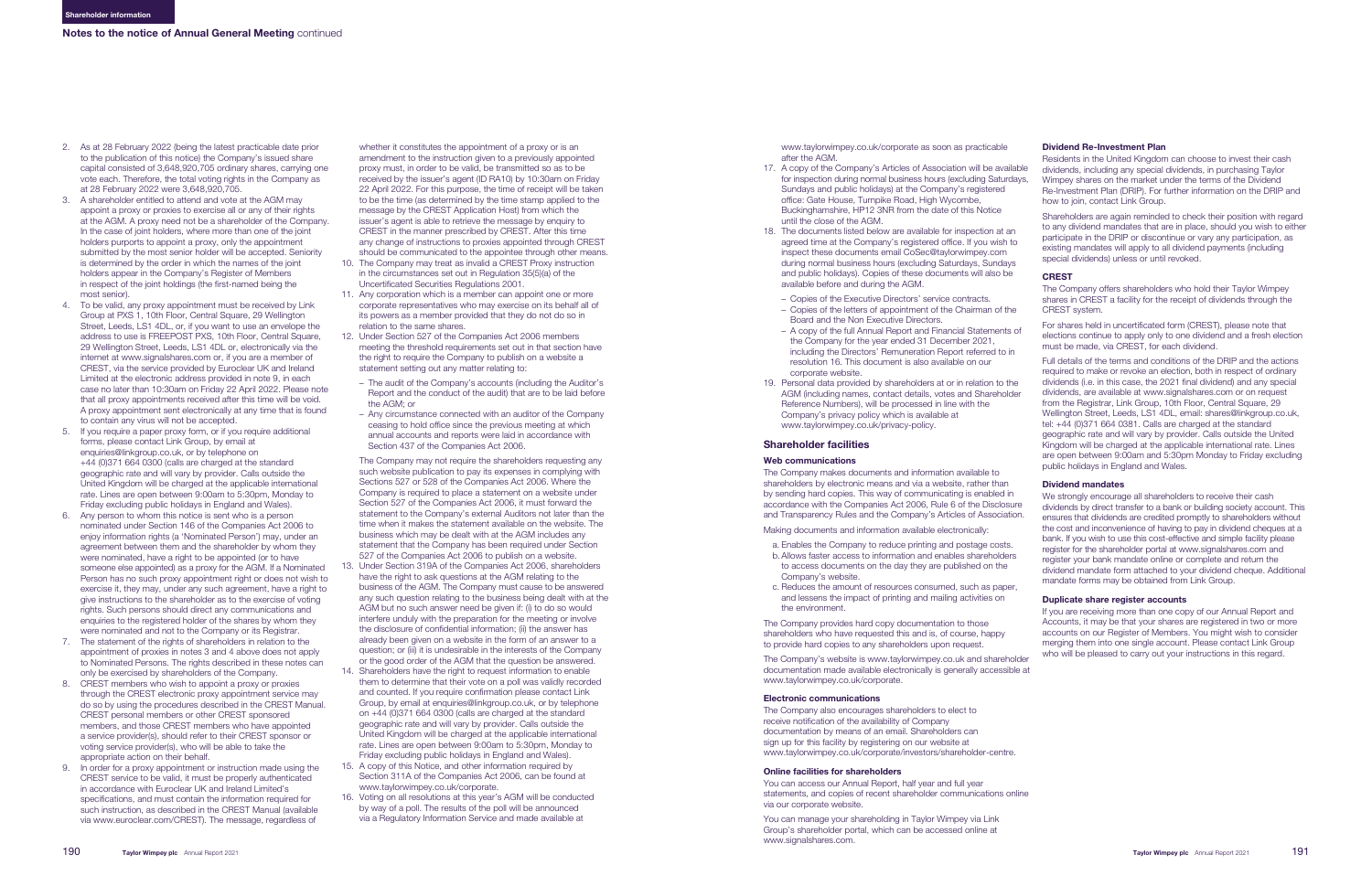- <span id="page-3-0"></span>2. As at 28 February 2022 (being the latest practicable date prior to the publication of this notice) the Company's issued share capital consisted of 3,648,920,705 ordinary shares, carrying one vote each. Therefore, the total voting rights in the Company as at 28 February 2022 were 3,648,920,705.
- 3. A shareholder entitled to attend and vote at the AGM may appoint a proxy or proxies to exercise all or any of their rights at the AGM. A proxy need not be a shareholder of the Company. In the case of joint holders, where more than one of the joint holders purports to appoint a proxy, only the appointment submitted by the most senior holder will be accepted. Seniority is determined by the order in which the names of the joint holders appear in the Company's Register of Members in respect of the joint holdings (the first-named being the most senior).
- 4. To be valid, any proxy appointment must be received by Link Group at PXS 1, 10th Floor, Central Square, 29 Wellington Street, Leeds, LS1 4DL, or, if you want to use an envelope the address to use is FREEPOST PXS, 10th Floor, Central Square, 29 Wellington Street, Leeds, LS1 4DL or, electronically via the internet at www.signalshares.com or, if you are a member of CREST, via the service provided by Euroclear UK and Ireland Limited at the electronic address provided in note 9, in each case no later than 10:30am on Friday 22 April 2022. Please note that all proxy appointments received after this time will be void. A proxy appointment sent electronically at any time that is found to contain any virus will not be accepted.
- 5. If you require a paper proxy form, or if you require additional forms, please contact Link Group, by email at enquiries@linkgroup.co.uk, or by telephone on +44 (0)371 664 0300 (calls are charged at the standard geographic rate and will vary by provider. Calls outside the United Kingdom will be charged at the applicable international rate. Lines are open between 9:00am to 5:30pm, Monday to Friday excluding public holidays in England and Wales).
- 6. Any person to whom this notice is sent who is a person nominated under Section 146 of the Companies Act 2006 to enjoy information rights (a 'Nominated Person') may, under an agreement between them and the shareholder by whom they were nominated, have a right to be appointed (or to have someone else appointed) as a proxy for the AGM. If a Nominated Person has no such proxy appointment right or does not wish to exercise it, they may, under any such agreement, have a right to give instructions to the shareholder as to the exercise of voting rights. Such persons should direct any communications and enquiries to the registered holder of the shares by whom they were nominated and not to the Company or its Registrar.
- 7. The statement of the rights of shareholders in relation to the appointment of proxies in notes 3 and 4 above does not apply to Nominated Persons. The rights described in these notes can only be exercised by shareholders of the Company.
- 8. CREST members who wish to appoint a proxy or proxies through the CREST electronic proxy appointment service may do so by using the procedures described in the CREST Manual. CREST personal members or other CREST sponsored members, and those CREST members who have appointed a service provider(s), should refer to their CREST sponsor or voting service provider(s), who will be able to take the appropriate action on their behalf.
- 9. In order for a proxy appointment or instruction made using the CREST service to be valid, it must be properly authenticated in accordance with Euroclear UK and Ireland Limited's specifications, and must contain the information required for such instruction, as described in the CREST Manual (available via www.euroclear.com/CREST). The message, regardless of

whether it constitutes the appointment of a proxy or is an amendment to the instruction given to a previously appointed proxy must, in order to be valid, be transmitted so as to be received by the issuer's agent (ID RA10) by 10:30am on Friday 22 April 2022. For this purpose, the time of receipt will be taken to be the time (as determined by the time stamp applied to the message by the CREST Application Host) from which the issuer's agent is able to retrieve the message by enquiry to CREST in the manner prescribed by CREST. After this time any change of instructions to proxies appointed through CREST should be communicated to the appointee through other means.

- 10. The Company may treat as invalid a CREST Proxy instruction in the circumstances set out in Regulation 35(5)(a) of the Uncertificated Securities Regulations 2001.
- 11. Any corporation which is a member can appoint one or more corporate representatives who may exercise on its behalf all of its powers as a member provided that they do not do so in relation to the same shares.
- 12. Under Section 527 of the Companies Act 2006 members meeting the threshold requirements set out in that section have the right to require the Company to publish on a website a statement setting out any matter relating to:
	- The audit of the Company's accounts (including the Auditor's Report and the conduct of the audit) that are to be laid before the AGM; or
- Any circumstance connected with an auditor of the Company ceasing to hold office since the previous meeting at which annual accounts and reports were laid in accordance with Section 437 of the Companies Act 2006.

The Company may not require the shareholders requesting any such website publication to pay its expenses in complying with Sections 527 or 528 of the Companies Act 2006. Where the Company is required to place a statement on a website under Section 527 of the Companies Act 2006, it must forward the statement to the Company's external Auditors not later than the time when it makes the statement available on the website. The business which may be dealt with at the AGM includes any statement that the Company has been required under Section 527 of the Companies Act 2006 to publish on a website.

We strongly encourage all shareholders to receive their cash dividends by direct transfer to a bank or building society account. This ensures that dividends are credited promptly to shareholders without the cost and inconvenience of having to pay in dividend cheques at a bank. If you wish to use this cost-effective and simple facility please register for the shareholder portal at www.signalshares.com and register your bank mandate online or complete and return the dividend mandate form attached to your dividend cheque. Additional mandate forms may be obtained from Link Group.

- 13. Under Section 319A of the Companies Act 2006, shareholders have the right to ask questions at the AGM relating to the business of the AGM. The Company must cause to be answered any such question relating to the business being dealt with at the AGM but no such answer need be given if: (i) to do so would interfere unduly with the preparation for the meeting or involve the disclosure of confidential information; (ii) the answer has already been given on a website in the form of an answer to a question; or (iii) it is undesirable in the interests of the Company or the good order of the AGM that the question be answered.
- 14. Shareholders have the right to request information to enable them to determine that their vote on a poll was validly recorded and counted. If you require confirmation please contact Link Group, by email at enquiries@linkgroup.co.uk, or by telephone on +44 (0)371 664 0300 (calls are charged at the standard geographic rate and will vary by provider. Calls outside the United Kingdom will be charged at the applicable international rate. Lines are open between 9:00am to 5:30pm, Monday to Friday excluding public holidays in England and Wales).
- 15. A copy of this Notice, and other information required by Section 311A of the Companies Act 2006, can be found at www.taylorwimpey.co.uk/corporate.
- 16. Voting on all resolutions at this year's AGM will be conducted by way of a poll. The results of the poll will be announced via a Regulatory Information Service and made available at

www.taylorwimpey.co.uk/corporate as soon as practicable after the AGM.

- 17. A copy of the Company's Articles of Association will be available for inspection during normal business hours (excluding Saturdays, Sundays and public holidays) at the Company's registered office: Gate House, Turnpike Road, High Wycombe, Buckinghamshire, HP12 3NR from the date of this Notice until the close of the AGM.
- 18. The documents listed below are available for inspection at an agreed time at the Company's registered office. If you wish to inspect these documents email CoSec@taylorwimpey.com during normal business hours (excluding Saturdays, Sundays and public holidays). Copies of these documents will also be available before and during the AGM.
	- Copies of the Executive Directors' service contracts.
	- Copies of the letters of appointment of the Chairman of the Board and the Non Executive Directors.
	- A copy of the full Annual Report and Financial Statements of the Company for the year ended 31 December 2021, including the Directors' Remuneration Report referred to in resolution 16. This document is also available on our corporate website.
- 19. Personal data provided by shareholders at or in relation to the AGM (including names, contact details, votes and Shareholder Reference Numbers), will be processed in line with the Company's privacy policy which is available at www.taylorwimpey.co.uk/privacy-policy.

### Shareholder facilities

#### Web communications

The Company makes documents and information available to shareholders by electronic means and via a website, rather than by sending hard copies. This way of communicating is enabled in accordance with the Companies Act 2006, Rule 6 of the Disclosure and Transparency Rules and the Company's Articles of Association.

Making documents and information available electronically:

- a. Enables the Company to reduce printing and postage costs. b. Allows faster access to information and enables shareholders to access documents on the day they are published on the Company's website.
- c. Reduces the amount of resources consumed, such as paper, and lessens the impact of printing and mailing activities on the environment.

The Company provides hard copy documentation to those shareholders who have requested this and is, of course, happy to provide hard copies to any shareholders upon request.

The Company's website is www.taylorwimpey.co.uk and shareholder documentation made available electronically is generally accessible at www.taylorwimpey.co.uk/corporate.

#### Electronic communications

The Company also encourages shareholders to elect to receive notification of the availability of Company documentation by means of an email. Shareholders can sign up for this facility by registering on our website at www.taylorwimpey.co.uk/corporate/investors/shareholder-centre.

#### Online facilities for shareholders

You can access our Annual Report, half year and full year statements, and copies of recent shareholder communications online via our corporate website.

You can manage your shareholding in Taylor Wimpey via Link Group's shareholder portal, which can be accessed online at www.signalshares.com.

### Dividend Re-Investment Plan

Residents in the United Kingdom can choose to invest their cash dividends, including any special dividends, in purchasing Taylor Wimpey shares on the market under the terms of the Dividend Re-Investment Plan (DRIP). For further information on the DRIP and how to join, contact Link Group.

Shareholders are again reminded to check their position with regard to any dividend mandates that are in place, should you wish to either participate in the DRIP or discontinue or vary any participation, as existing mandates will apply to all dividend payments (including special dividends) unless or until revoked.

#### **CREST**

The Company offers shareholders who hold their Taylor Wimpey shares in CREST a facility for the receipt of dividends through the CREST system.

For shares held in uncertificated form (CREST), please note that elections continue to apply only to one dividend and a fresh election must be made, via CREST, for each dividend.

Full details of the terms and conditions of the DRIP and the actions required to make or revoke an election, both in respect of ordinary dividends (i.e. in this case, the 2021 final dividend) and any special dividends, are available at www.signalshares.com or on request from the Registrar, Link Group, 10th Floor, Central Square, 29 Wellington Street, Leeds, LS1 4DL, email: shares@linkgroup.co.uk, tel: +44 (0)371 664 0381. Calls are charged at the standard geographic rate and will vary by provider. Calls outside the United Kingdom will be charged at the applicable international rate. Lines are open between 9:00am and 5:30pm Monday to Friday excluding public holidays in England and Wales.

#### Dividend mandates

#### Duplicate share register accounts

If you are receiving more than one copy of our Annual Report and Accounts, it may be that your shares are registered in two or more accounts on our Register of Members. You might wish to consider merging them into one single account. Please contact Link Group who will be pleased to carry out your instructions in this regard.